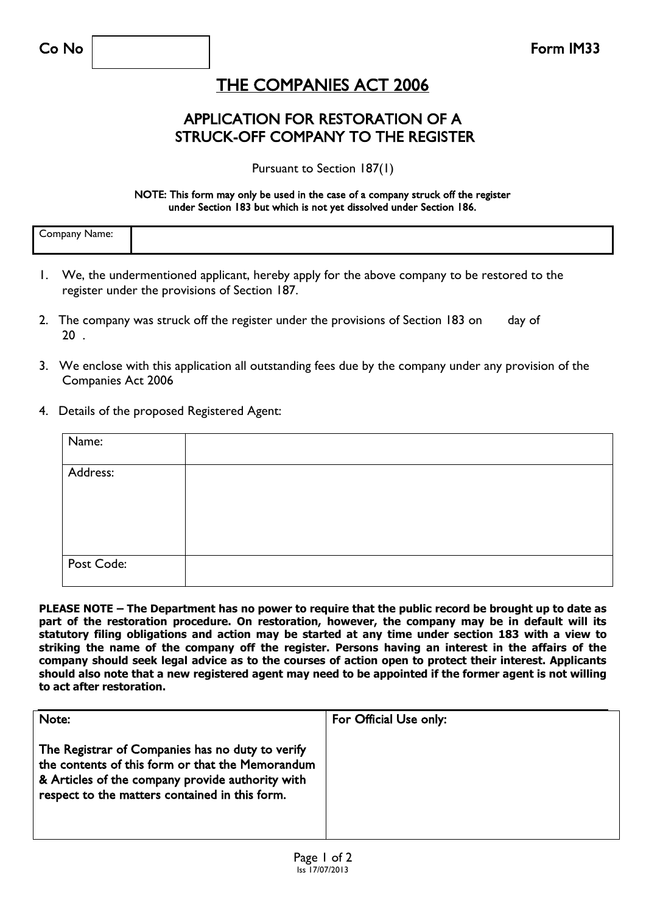## THE COMPANIES ACT 2006

### APPLICATION FOR RESTORATION OF A STRUCK-OFF COMPANY TO THE REGISTER

Pursuant to Section 187(1)

#### NOTE: This form may only be used in the case of a company struck off the register under Section 183 but which is not yet dissolved under Section 186.

| $\epsilon$<br>-----<br>----<br>не<br>. . |  |
|------------------------------------------|--|
|                                          |  |

- 1. We, the undermentioned applicant, hereby apply for the above company to be restored to the register under the provisions of Section 187.
- 2. The company was struck off the register under the provisions of Section 183 on day of  $20<sup>1</sup>$
- 3. We enclose with this application all outstanding fees due by the company under any provision of the Companies Act 2006
- 4. Details of the proposed Registered Agent:

| Name:      |  |
|------------|--|
| Address:   |  |
|            |  |
| Post Code: |  |

**PLEASE NOTE – The Department has no power to require that the public record be brought up to date as part of the restoration procedure. On restoration, however, the company may be in default will its statutory filing obligations and action may be started at any time under section 183 with a view to striking the name of the company off the register. Persons having an interest in the affairs of the company should seek legal advice as to the courses of action open to protect their interest. Applicants should also note that a new registered agent may need to be appointed if the former agent is not willing to act after restoration.**

| Note:                                                                                                                                                                                                      | For Official Use only: |
|------------------------------------------------------------------------------------------------------------------------------------------------------------------------------------------------------------|------------------------|
| The Registrar of Companies has no duty to verify<br>the contents of this form or that the Memorandum<br>& Articles of the company provide authority with<br>respect to the matters contained in this form. |                        |